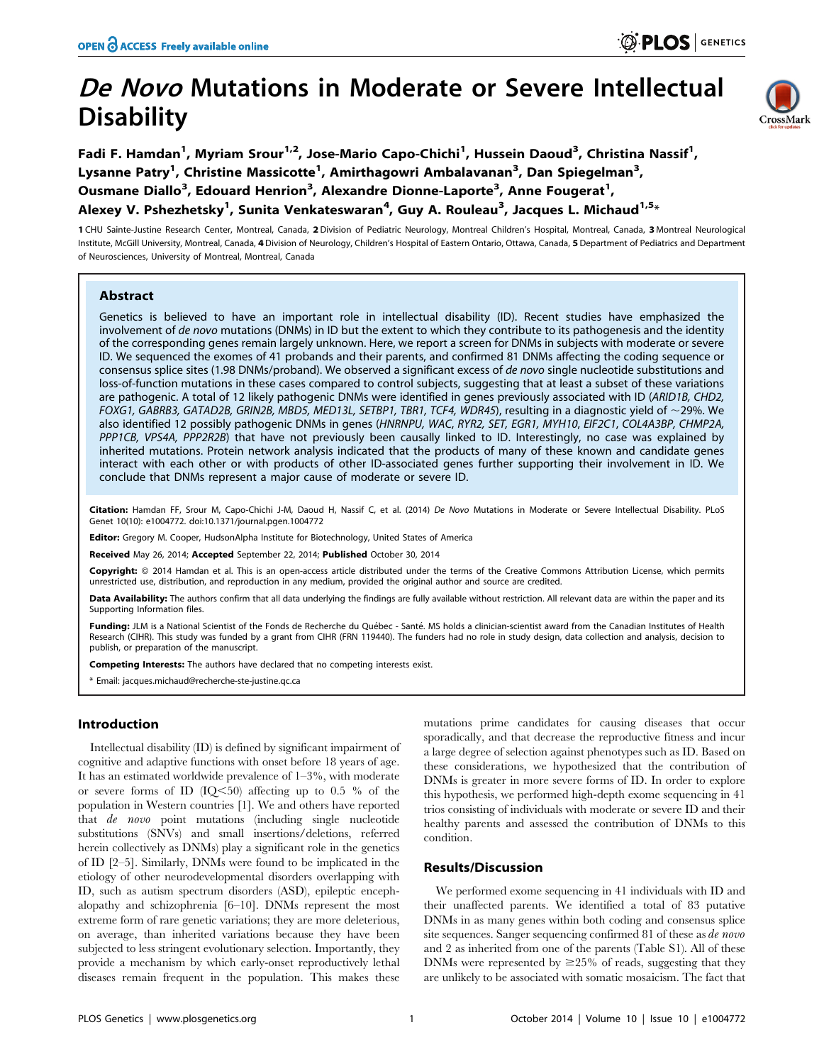# De Novo Mutations in Moderate or Severe Intellectual **Disability**



Fadi F. Hamdan<sup>1</sup>, Myriam Srour<sup>1,2</sup>, Jose-Mario Capo-Chichi<sup>1</sup>, Hussein Daoud<sup>3</sup>, Christina Nassif<sup>1</sup>, Lysanne Patry<sup>1</sup>, Christine Massicotte<sup>1</sup>, Amirthagowri Ambalavanan<sup>3</sup>, Dan Spiegelman<sup>3</sup>, Ousmane Diallo<sup>3</sup>, Edouard Henrion<sup>3</sup>, Alexandre Dionne-Laporte<sup>3</sup>, Anne Fougerat<sup>1</sup>, Alexey V. Pshezhetsky<sup>1</sup>, Sunita Venkateswaran<sup>4</sup>, Guy A. Rouleau<sup>3</sup>, Jacques L. Michaud<sup>1,5</sup>\*

1 CHU Sainte-Justine Research Center, Montreal, Canada, 2 Division of Pediatric Neurology, Montreal Children's Hospital, Montreal, Canada, 3 Montreal Neurological Institute, McGill University, Montreal, Canada, 4 Division of Neurology, Children's Hospital of Eastern Ontario, Ottawa, Canada, 5 Department of Pediatrics and Department of Neurosciences, University of Montreal, Montreal, Canada

# Abstract

Genetics is believed to have an important role in intellectual disability (ID). Recent studies have emphasized the involvement of de novo mutations (DNMs) in ID but the extent to which they contribute to its pathogenesis and the identity of the corresponding genes remain largely unknown. Here, we report a screen for DNMs in subjects with moderate or severe ID. We sequenced the exomes of 41 probands and their parents, and confirmed 81 DNMs affecting the coding sequence or consensus splice sites (1.98 DNMs/proband). We observed a significant excess of de novo single nucleotide substitutions and loss-of-function mutations in these cases compared to control subjects, suggesting that at least a subset of these variations are pathogenic. A total of 12 likely pathogenic DNMs were identified in genes previously associated with ID (ARID1B, CHD2, FOXG1, GABRB3, GATAD2B, GRIN2B, MBD5, MED13L, SETBP1, TBR1, TCF4, WDR45), resulting in a diagnostic yield of  $\sim$ 29%. We also identified 12 possibly pathogenic DNMs in genes (HNRNPU, WAC, RYR2, SET, EGR1, MYH10, EIF2C1, COL4A3BP, CHMP2A, PPP1CB, VPS4A, PPP2R2B) that have not previously been causally linked to ID. Interestingly, no case was explained by inherited mutations. Protein network analysis indicated that the products of many of these known and candidate genes interact with each other or with products of other ID-associated genes further supporting their involvement in ID. We conclude that DNMs represent a major cause of moderate or severe ID.

Citation: Hamdan FF, Srour M, Capo-Chichi J-M, Daoud H, Nassif C, et al. (2014) De Novo Mutations in Moderate or Severe Intellectual Disability. PLoS Genet 10(10): e1004772. doi:10.1371/journal.pgen.1004772

Editor: Gregory M. Cooper, HudsonAlpha Institute for Biotechnology, United States of America

Received May 26, 2014; Accepted September 22, 2014; Published October 30, 2014

Copyright: © 2014 Hamdan et al. This is an open-access article distributed under the terms of the [Creative Commons Attribution License,](http://creativecommons.org/licenses/by/4.0/) which permits unrestricted use, distribution, and reproduction in any medium, provided the original author and source are credited.

Data Availability: The authors confirm that all data underlying the findings are fully available without restriction. All relevant data are within the paper and its Supporting Information files.

Funding: JLM is a National Scientist of the Fonds de Recherche du Québec - Santé. MS holds a clinician-scientist award from the Canadian Institutes of Health Research (CIHR). This study was funded by a grant from CIHR (FRN 119440). The funders had no role in study design, data collection and analysis, decision to publish, or preparation of the manuscript.

Competing Interests: The authors have declared that no competing interests exist.

\* Email: jacques.michaud@recherche-ste-justine.qc.ca

## Introduction

Intellectual disability (ID) is defined by significant impairment of cognitive and adaptive functions with onset before 18 years of age. It has an estimated worldwide prevalence of 1–3%, with moderate or severe forms of ID  $(IO<50)$  affecting up to 0.5 % of the population in Western countries [1]. We and others have reported that de novo point mutations (including single nucleotide substitutions (SNVs) and small insertions/deletions, referred herein collectively as DNMs) play a significant role in the genetics of ID [2–5]. Similarly, DNMs were found to be implicated in the etiology of other neurodevelopmental disorders overlapping with ID, such as autism spectrum disorders (ASD), epileptic encephalopathy and schizophrenia [6–10]. DNMs represent the most extreme form of rare genetic variations; they are more deleterious, on average, than inherited variations because they have been subjected to less stringent evolutionary selection. Importantly, they provide a mechanism by which early-onset reproductively lethal diseases remain frequent in the population. This makes these

mutations prime candidates for causing diseases that occur sporadically, and that decrease the reproductive fitness and incur a large degree of selection against phenotypes such as ID. Based on these considerations, we hypothesized that the contribution of DNMs is greater in more severe forms of ID. In order to explore this hypothesis, we performed high-depth exome sequencing in 41 trios consisting of individuals with moderate or severe ID and their healthy parents and assessed the contribution of DNMs to this condition.

## Results/Discussion

We performed exome sequencing in 41 individuals with ID and their unaffected parents. We identified a total of 83 putative DNMs in as many genes within both coding and consensus splice site sequences. Sanger sequencing confirmed 81 of these as de novo and 2 as inherited from one of the parents (Table S1). All of these DNMs were represented by  $\geq$  25% of reads, suggesting that they are unlikely to be associated with somatic mosaicism. The fact that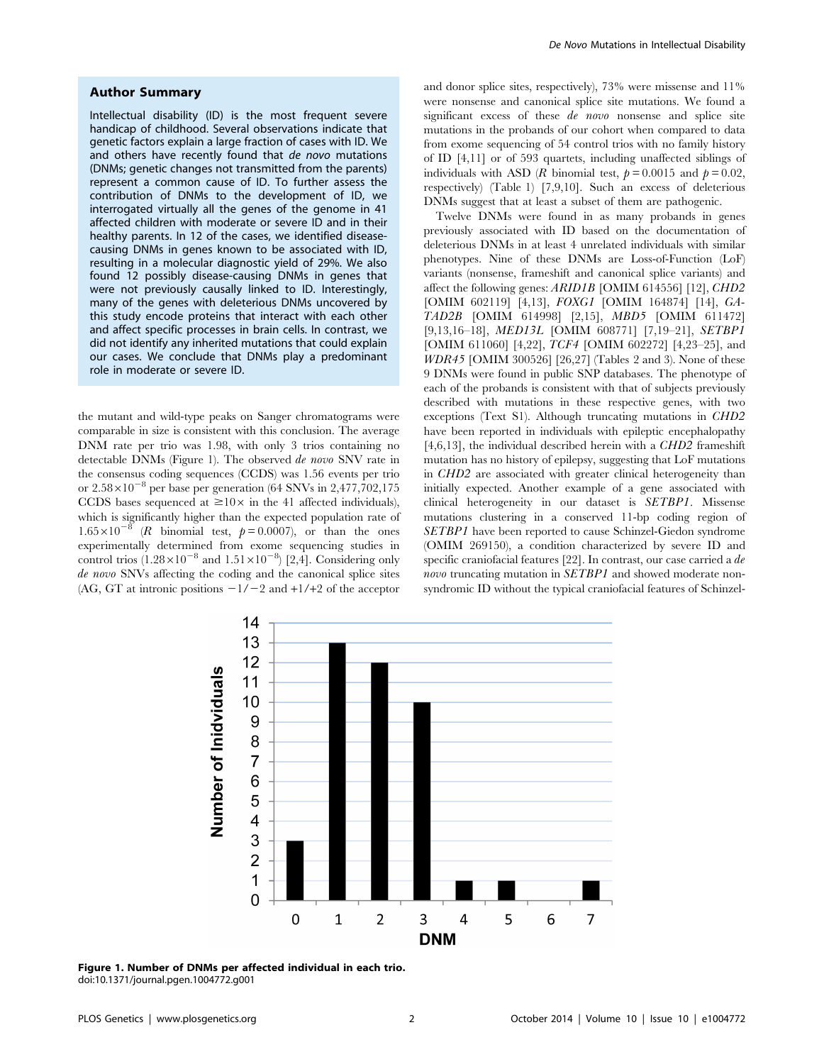## Author Summary

Intellectual disability (ID) is the most frequent severe handicap of childhood. Several observations indicate that genetic factors explain a large fraction of cases with ID. We and others have recently found that de novo mutations (DNMs; genetic changes not transmitted from the parents) represent a common cause of ID. To further assess the contribution of DNMs to the development of ID, we interrogated virtually all the genes of the genome in 41 affected children with moderate or severe ID and in their healthy parents. In 12 of the cases, we identified diseasecausing DNMs in genes known to be associated with ID, resulting in a molecular diagnostic yield of 29%. We also found 12 possibly disease-causing DNMs in genes that were not previously causally linked to ID. Interestingly, many of the genes with deleterious DNMs uncovered by this study encode proteins that interact with each other and affect specific processes in brain cells. In contrast, we did not identify any inherited mutations that could explain our cases. We conclude that DNMs play a predominant role in moderate or severe ID.

the mutant and wild-type peaks on Sanger chromatograms were comparable in size is consistent with this conclusion. The average DNM rate per trio was 1.98, with only 3 trios containing no detectable DNMs (Figure 1). The observed de novo SNV rate in the consensus coding sequences (CCDS) was 1.56 events per trio or  $2.58\times10^{-8}$  per base per generation (64 SNVs in 2,477,702,175) CCDS bases sequenced at  $\geq 10 \times$  in the 41 affected individuals), which is significantly higher than the expected population rate of  $1.65 \times 10^{-8}$  (R binomial test,  $p = 0.0007$ ), or than the ones experimentally determined from exome sequencing studies in control trios  $(1.28 \times 10^{-8}$  and  $1.51 \times 10^{-8})$  [2,4]. Considering only de novo SNVs affecting the coding and the canonical splice sites (AG, GT at intronic positions  $-1/-2$  and  $+1/+2$  of the acceptor

and donor splice sites, respectively), 73% were missense and 11% were nonsense and canonical splice site mutations. We found a significant excess of these *de novo* nonsense and splice site mutations in the probands of our cohort when compared to data from exome sequencing of 54 control trios with no family history of ID [4,11] or of 593 quartets, including unaffected siblings of individuals with ASD (R binomial test,  $p = 0.0015$  and  $p = 0.02$ , respectively) (Table 1) [7,9,10]. Such an excess of deleterious DNMs suggest that at least a subset of them are pathogenic.

Twelve DNMs were found in as many probands in genes previously associated with ID based on the documentation of deleterious DNMs in at least 4 unrelated individuals with similar phenotypes. Nine of these DNMs are Loss-of-Function (LoF) variants (nonsense, frameshift and canonical splice variants) and affect the following genes: ARID1B [OMIM 614556] [12], CHD2 [OMIM 602119] [4,13], FOXG1 [OMIM 164874] [14], GA-TAD2B [OMIM 614998] [2,15], MBD5 [OMIM 611472] [9,13,16–18], MED13L [OMIM 608771] [7,19–21], SETBP1 [OMIM 611060] [4,22], TCF4 [OMIM 602272] [4,23–25], and WDR45 [OMIM 300526] [26,27] (Tables 2 and 3). None of these 9 DNMs were found in public SNP databases. The phenotype of each of the probands is consistent with that of subjects previously described with mutations in these respective genes, with two exceptions (Text S1). Although truncating mutations in CHD2 have been reported in individuals with epileptic encephalopathy [4,6,13], the individual described herein with a CHD2 frameshift mutation has no history of epilepsy, suggesting that LoF mutations in CHD2 are associated with greater clinical heterogeneity than initially expected. Another example of a gene associated with clinical heterogeneity in our dataset is SETBP1. Missense mutations clustering in a conserved 11-bp coding region of SETBP1 have been reported to cause Schinzel-Giedon syndrome (OMIM 269150), a condition characterized by severe ID and specific craniofacial features [22]. In contrast, our case carried a de novo truncating mutation in SETBP1 and showed moderate nonsyndromic ID without the typical craniofacial features of Schinzel-



Figure 1. Number of DNMs per affected individual in each trio. doi:10.1371/journal.pgen.1004772.g001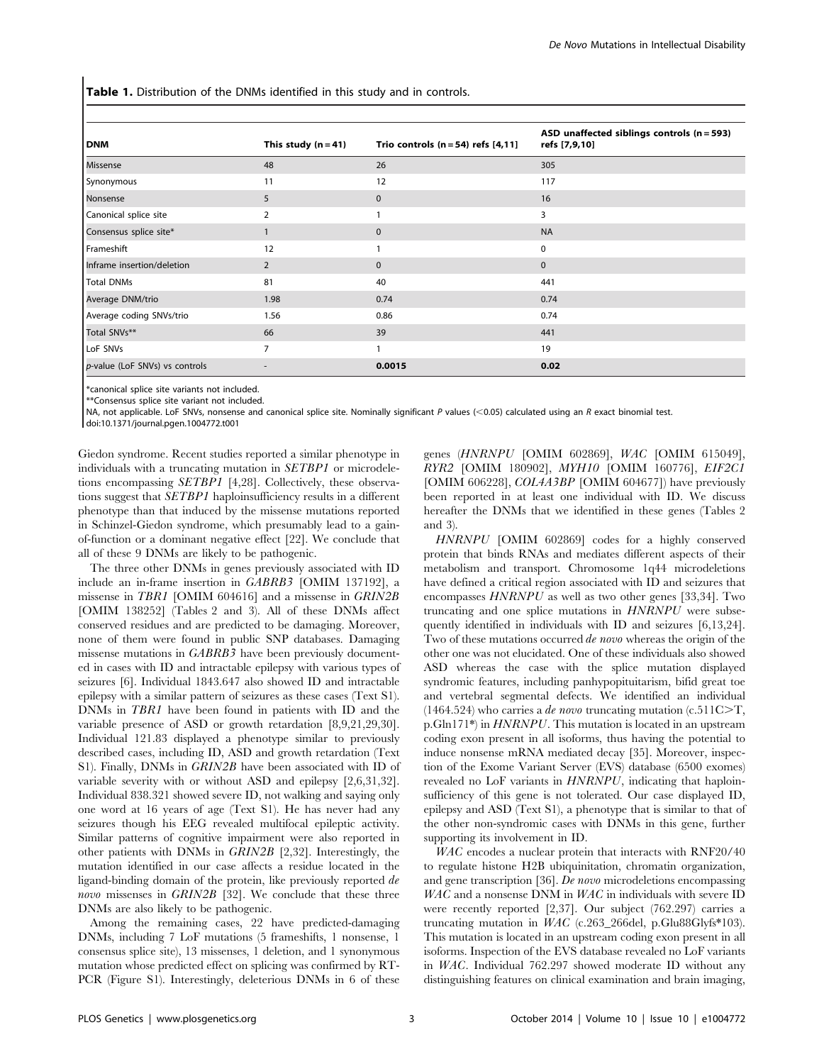Table 1. Distribution of the DNMs identified in this study and in controls.

| <b>DNM</b>                     | This study $(n = 41)$    | Trio controls $(n = 54)$ refs $[4, 11]$ | ASD unaffected siblings controls $(n = 593)$<br>refs [7,9,10] |
|--------------------------------|--------------------------|-----------------------------------------|---------------------------------------------------------------|
| Missense                       | 48                       | 26                                      | 305                                                           |
| Synonymous                     | 11                       | 12                                      | 117                                                           |
| Nonsense                       | 5                        | $\mathbf{0}$                            | 16                                                            |
| Canonical splice site          | 2                        |                                         | 3                                                             |
| Consensus splice site*         |                          | $\mathbf{0}$                            | <b>NA</b>                                                     |
| Frameshift                     | 12                       |                                         | 0                                                             |
| Inframe insertion/deletion     | 2                        | $\mathbf{0}$                            | $\mathbf{0}$                                                  |
| <b>Total DNMs</b>              | 81                       | 40                                      | 441                                                           |
| Average DNM/trio               | 1.98                     | 0.74                                    | 0.74                                                          |
| Average coding SNVs/trio       | 1.56                     | 0.86                                    | 0.74                                                          |
| Total SNVs**                   | 66                       | 39                                      | 441                                                           |
| LoF SNVs                       | $\overline{7}$           |                                         | 19                                                            |
| p-value (LoF SNVs) vs controls | $\overline{\phantom{a}}$ | 0.0015                                  | 0.02                                                          |

\*canonical splice site variants not included.

\*\*Consensus splice site variant not included.

NA, not applicable. LoF SNVs, nonsense and canonical splice site. Nominally significant P values (<0.05) calculated using an R exact binomial test.

doi:10.1371/journal.pgen.1004772.t001

Giedon syndrome. Recent studies reported a similar phenotype in individuals with a truncating mutation in SETBP1 or microdeletions encompassing SETBP1 [4,28]. Collectively, these observations suggest that SETBP1 haploinsufficiency results in a different phenotype than that induced by the missense mutations reported in Schinzel-Giedon syndrome, which presumably lead to a gainof-function or a dominant negative effect [22]. We conclude that all of these 9 DNMs are likely to be pathogenic.

The three other DNMs in genes previously associated with ID include an in-frame insertion in GABRB3 [OMIM 137192], a missense in TBR1 [OMIM 604616] and a missense in GRIN2B [OMIM 138252] (Tables 2 and 3). All of these DNMs affect conserved residues and are predicted to be damaging. Moreover, none of them were found in public SNP databases. Damaging missense mutations in GABRB3 have been previously documented in cases with ID and intractable epilepsy with various types of seizures [6]. Individual 1843.647 also showed ID and intractable epilepsy with a similar pattern of seizures as these cases (Text S1). DNMs in TBR1 have been found in patients with ID and the variable presence of ASD or growth retardation [8,9,21,29,30]. Individual 121.83 displayed a phenotype similar to previously described cases, including ID, ASD and growth retardation (Text S1). Finally, DNMs in GRIN2B have been associated with ID of variable severity with or without ASD and epilepsy [2,6,31,32]. Individual 838.321 showed severe ID, not walking and saying only one word at 16 years of age (Text S1). He has never had any seizures though his EEG revealed multifocal epileptic activity. Similar patterns of cognitive impairment were also reported in other patients with DNMs in GRIN2B [2,32]. Interestingly, the mutation identified in our case affects a residue located in the ligand-binding domain of the protein, like previously reported de novo missenses in GRIN2B [32]. We conclude that these three DNMs are also likely to be pathogenic.

Among the remaining cases, 22 have predicted-damaging DNMs, including 7 LoF mutations (5 frameshifts, 1 nonsense, 1 consensus splice site), 13 missenses, 1 deletion, and 1 synonymous mutation whose predicted effect on splicing was confirmed by RT-PCR (Figure S1). Interestingly, deleterious DNMs in 6 of these

genes (HNRNPU [OMIM 602869], WAC [OMIM 615049], RYR2 [OMIM 180902], MYH10 [OMIM 160776], EIF2C1 [OMIM 606228], COL4A3BP [OMIM 604677]) have previously been reported in at least one individual with ID. We discuss hereafter the DNMs that we identified in these genes (Tables 2 and 3).

HNRNPU [OMIM 602869] codes for a highly conserved protein that binds RNAs and mediates different aspects of their metabolism and transport. Chromosome 1q44 microdeletions have defined a critical region associated with ID and seizures that encompasses HNRNPU as well as two other genes [33,34]. Two truncating and one splice mutations in HNRNPU were subsequently identified in individuals with ID and seizures [6,13,24]. Two of these mutations occurred *de novo* whereas the origin of the other one was not elucidated. One of these individuals also showed ASD whereas the case with the splice mutation displayed syndromic features, including panhypopituitarism, bifid great toe and vertebral segmental defects. We identified an individual (1464.524) who carries a *de novo* truncating mutation (c.511C $\geq$ T, p.Gln171\*) in HNRNPU. This mutation is located in an upstream coding exon present in all isoforms, thus having the potential to induce nonsense mRNA mediated decay [35]. Moreover, inspection of the Exome Variant Server (EVS) database (6500 exomes) revealed no LoF variants in HNRNPU, indicating that haploinsufficiency of this gene is not tolerated. Our case displayed ID, epilepsy and ASD (Text S1), a phenotype that is similar to that of the other non-syndromic cases with DNMs in this gene, further supporting its involvement in ID.

WAC encodes a nuclear protein that interacts with RNF20/40 to regulate histone H2B ubiquinitation, chromatin organization, and gene transcription [36]. De novo microdeletions encompassing WAC and a nonsense DNM in WAC in individuals with severe ID were recently reported [2,37]. Our subject (762.297) carries a truncating mutation in WAC (c.263\_266del, p.Glu88Glyfs\*103). This mutation is located in an upstream coding exon present in all isoforms. Inspection of the EVS database revealed no LoF variants in WAC. Individual 762.297 showed moderate ID without any distinguishing features on clinical examination and brain imaging,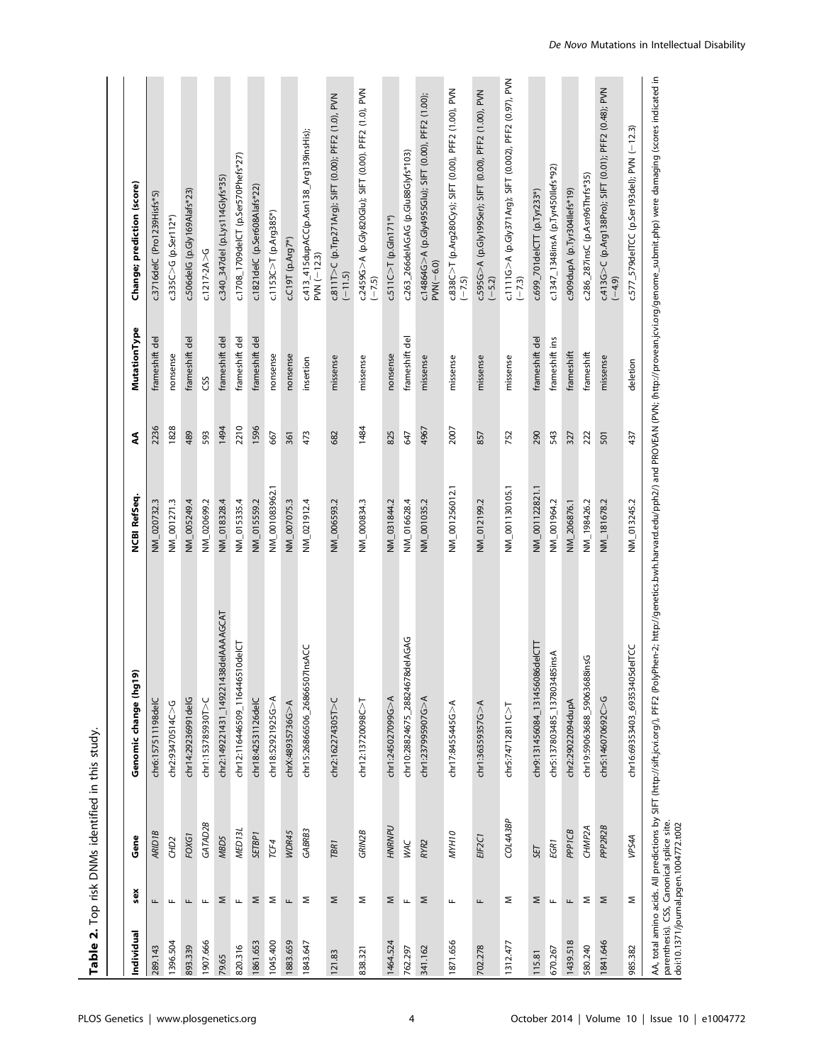| Individual | sex          | Gene               | $\widehat{\mathbf{e}}$<br>Genomic change (hg' | NCBI RefSeq.   | ş    | <b>MutationType</b> | Change; prediction (score)                                          |
|------------|--------------|--------------------|-----------------------------------------------|----------------|------|---------------------|---------------------------------------------------------------------|
| 289.143    | щ            | <b>ARID1B</b>      | chr6:157511198delC                            | NM_020732.3    | 2236 | frameshift del      | c.3716delC (Pro1239Hisfs*5)                                         |
| 1396.504   | Щ            | CHD <sub>2</sub>   | chr2:93470514C > G                            | NM_001271.3    | 1828 | nonsense            | c.335C > G (p.Ser112*)                                              |
| 893.339    | щ            | FOXG1              | chr14:29236991delG                            | NM_005249.4    | 489  | frameshift del      | c.506delG (p.Gly169Alafs*23)                                        |
| 1907.666   | Щ            | GATAD2B            | :hr1:153785930T>C                             | NM_020699.2    | 593  | CSS                 | $c.1217 - 2A > G$                                                   |
| 79.65      | Σ            | MBD5               | chr2:149221431_149221438delAAAAGCAT           | NM_018328.4    | 1494 | frameshift del      | c.340_347del (p.Lys114Glyfs*35)                                     |
| 820.316    | $\mathbf{L}$ | MED <sub>13L</sub> | chr12:116446509_116446510delCT                | NM_015335.4    | 2210 | frameshift del      | c.1708_1709delCT (p.Ser570Phefs*27)                                 |
| 1861.653   | Σ            | <b>SETBP1</b>      | chr18:42531126delC                            | NM_015559.2    | 1596 | frameshift del      | c.1821delC (p.Ser608Alafs*22)                                       |
| 1045.400   | Σ            | TCF4               | $chr18:52921925G > A$                         | NM_001083962.1 | 667  | nonsense            | $c.1153C > T$ (p.Arg385*)                                           |
| 1883.659   | щ            | WDR45              | $chrX:48935736G A$                            | NM_007075.3    | 361  | nonsense            | $c.C19T$ (p.Arg7*)                                                  |
| 1843.647   | Σ            | GABRB3             | chr15:26866506_26866507lnsACC                 | NM_021912.4    | 473  | insertion           | c.413_415dupACC(p.Asn138_Arg139insHis);<br>PVN (-12.3)              |
| 121.83     | Σ            | TBR <sub>1</sub>   | chr2:162274305T > C                           | NM_006593.2    | 682  | missense            | c.811T>C (p.Trp271Arg); SIFT (0.00); PFF2 (1.0), PVN<br>$(-11.5)$   |
| 838.321    | Σ            | GRIN2B             | chr12:13720098C>T                             | NM_000834.3    | 1484 | missense            | c.2459G>A (p.Gly820Glu); SIFT (0.00). PFF2 (1.0), PVN<br>$(-7.5)$   |
| 1464.524   | Σ            | HNRNPU             | chr1:245027099G>A                             | NM_031844.2    | 825  | nonsense            | $c.511C > T (p.Gln171*)$                                            |
| 762.297    | Щ            | <b>WAC</b>         | 78delAGAG<br>chr10:28824675_2882467           | NM_016628.4    | 647  | frameshift del      | c.263_266delAGAG (p.Glu88Glyfs*103)                                 |
| 341.162    | Σ            | RYR <sub>2</sub>   | chr1:237995907G>A                             | NM_001035.2    | 4967 | missense            | c.14864G>A (p.Gly4955Glu); SIFT (0.00), PFF2 (1.00);<br>$PVM(-6.0)$ |
| 1871.656   | щ            | <b>MYH10</b>       | chr17:8455445G > A                            | NM_001256012.1 | 2007 | missense            | c.838C>T (p.Arg280Cys); SIFT (0.00), PFF2 (1.00), PVN<br>(~7.5)     |
| 702.278    | щ            | EIF2C1             | $chr1:36359357G$ A                            | NM_012199.2    | 857  | missense            | c.595G>A (p.Gly1995er); SIFT (0.00), PFF2 (1.00), PVN<br>$(-5.2)$   |
| 1312.477   | Σ            | COL4A3BP           | chr5:74712811C > T                            | NM_001130105.1 | 752  | missense            | ZN = 111G>A (p.Gly371Arg); SIFT (0.02), PFF2 (0.97), PV<br>(-7.3)   |
| 115.81     | Σ            | SET                | chr9:131456084_131456086delCTT                | NM_001122821.1 | 290  | frameshift del      | c.699_701delCTT (p.Tyr233*)                                         |
| 670.267    | ш.           | EGR <sub>1</sub>   | chr5:137803485_137803485insA                  | NM_001964.2    | 543  | frameshift ins      | c.1347_1348insA (p.Tyr450llefs*92)                                  |
| 1439.518   | Щ            | PP <sub>1CB</sub>  | chr2:29022094dupA                             | NM_206876.1    | 327  | frameshift          | c.909dupA (p.Tyr304llefs*19)                                        |
| 580.240    | Σ            | CHMP <sub>2A</sub> | chr19:59063688_59063688insG                   | NM_198426.2    | 222  | frameshift          | c.286_287insC (p.Asn96Thrfs*35)                                     |
| 1841.646   | Σ            | PPP2R2B            | chr5:146070692C>G                             | NM_181678.2    | 501  | missense            | C413G>C (p.Arg138Pro); SIFT (0.01); PFF2 (0.43); PN<br>$(-4.9)$     |
| 985.382    | Σ            | VPS4A              | chr16:69353403_69353405delTCC                 | NM_013245.2    | 437  | deletion            | c.577_579delTCC (p.Ser193del); PVN (-12.3)                          |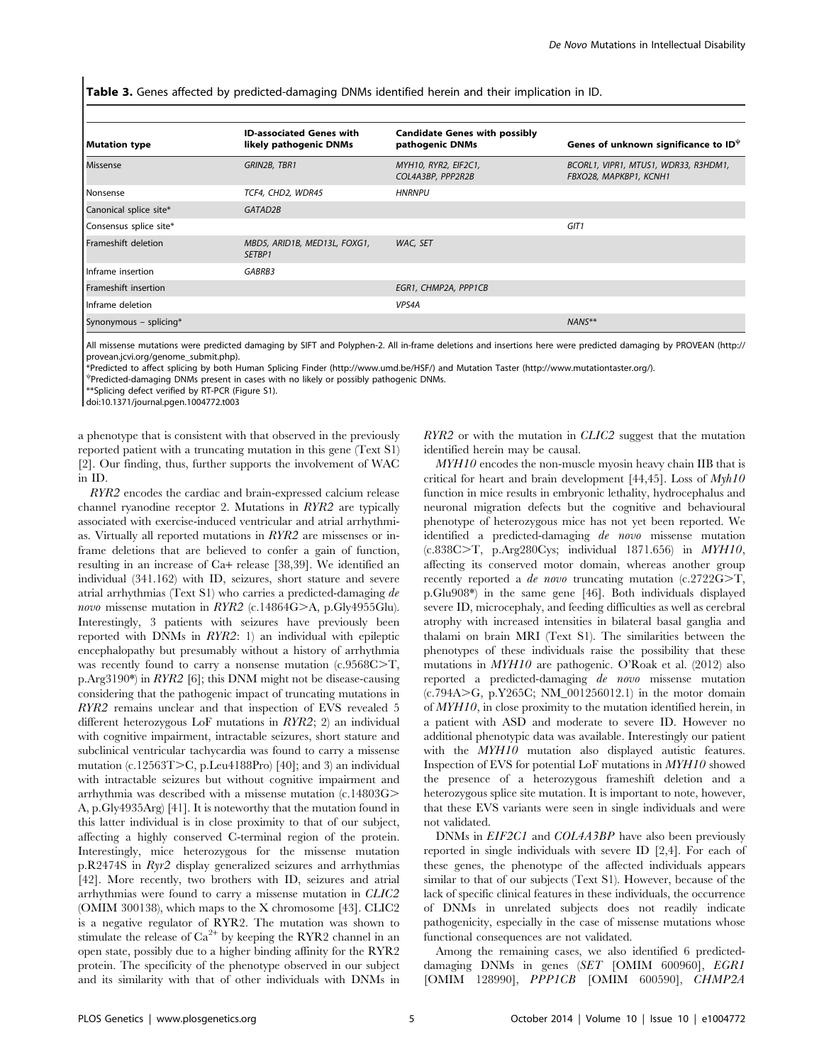Table 3. Genes affected by predicted-damaging DNMs identified herein and their implication in ID.

| <b>Mutation type</b>        | <b>ID-associated Genes with</b><br>likely pathogenic DNMs | <b>Candidate Genes with possibly</b><br>pathogenic DNMs | Genes of unknown significance to $ID^{\psi}$                   |
|-----------------------------|-----------------------------------------------------------|---------------------------------------------------------|----------------------------------------------------------------|
| Missense                    | GRIN2B, TBR1                                              | MYH10, RYR2, EIF2C1,<br>COL4A3BP, PPP2R2B               | BCORL1, VIPR1, MTUS1, WDR33, R3HDM1,<br>FBXO28, MAPKBP1, KCNH1 |
| Nonsense                    | TCF4, CHD2, WDR45                                         | <b>HNRNPU</b>                                           |                                                                |
| Canonical splice site*      | GATAD2B                                                   |                                                         |                                                                |
| Consensus splice site*      |                                                           |                                                         | GIT1                                                           |
| <b>Frameshift deletion</b>  | MBD5, ARID1B, MED13L, FOXG1,<br>SETBP1                    | WAC, SET                                                |                                                                |
| Inframe insertion           | GABRB3                                                    |                                                         |                                                                |
| <b>Frameshift insertion</b> |                                                           | EGR1, CHMP2A, PPP1CB                                    |                                                                |
| Inframe deletion            |                                                           | VPS4A                                                   |                                                                |
| Synonymous - splicing*      |                                                           |                                                         | $NANS**$                                                       |

All missense mutations were predicted damaging by SIFT and Polyphen-2. All in-frame deletions and insertions here were predicted damaging by PROVEAN [\(http://](http://provean.jcvi.org/genome_submit.php) [provean.jcvi.org/genome\\_submit.php\)](http://provean.jcvi.org/genome_submit.php).

\*Predicted to affect splicing by both Human Splicing Finder [\(http://www.umd.be/HSF/\)](http://www.umd.be/HSF/) and Mutation Taster ([http://www.mutationtaster.org/\)](http://www.mutationtaster.org/).

y Predicted-damaging DNMs present in cases with no likely or possibly pathogenic DNMs.

\*\*Splicing defect verified by RT-PCR (Figure S1).

doi:10.1371/journal.pgen.1004772.t003

a phenotype that is consistent with that observed in the previously reported patient with a truncating mutation in this gene (Text S1) [2]. Our finding, thus, further supports the involvement of WAC in ID.

RYR2 encodes the cardiac and brain-expressed calcium release channel ryanodine receptor 2. Mutations in RYR2 are typically associated with exercise-induced ventricular and atrial arrhythmias. Virtually all reported mutations in RYR2 are missenses or inframe deletions that are believed to confer a gain of function, resulting in an increase of Ca+ release [38,39]. We identified an individual (341.162) with ID, seizures, short stature and severe atrial arrhythmias (Text S1) who carries a predicted-damaging de novo missense mutation in RYR2 (c.14864G>A, p.Gly4955Glu). Interestingly, 3 patients with seizures have previously been reported with DNMs in RYR2: 1) an individual with epileptic encephalopathy but presumably without a history of arrhythmia was recently found to carry a nonsense mutation  $(c.9568C>T,$ p.Arg3190\*) in RYR2 [6]; this DNM might not be disease-causing considering that the pathogenic impact of truncating mutations in RYR2 remains unclear and that inspection of EVS revealed 5 different heterozygous LoF mutations in RYR2; 2) an individual with cognitive impairment, intractable seizures, short stature and subclinical ventricular tachycardia was found to carry a missense mutation (c.12563T $>$ C, p.Leu4188Pro) [40]; and 3) an individual with intractable seizures but without cognitive impairment and arrhythmia was described with a missense mutation (c.14803G. A, p.Gly4935Arg) [41]. It is noteworthy that the mutation found in this latter individual is in close proximity to that of our subject, affecting a highly conserved C-terminal region of the protein. Interestingly, mice heterozygous for the missense mutation p.R2474S in Ryr2 display generalized seizures and arrhythmias [42]. More recently, two brothers with ID, seizures and atrial arrhythmias were found to carry a missense mutation in CLIC2 (OMIM 300138), which maps to the X chromosome [43]. CLIC2 is a negative regulator of RYR2. The mutation was shown to stimulate the release of  $Ca^{2+}$  by keeping the RYR2 channel in an open state, possibly due to a higher binding affinity for the RYR2 protein. The specificity of the phenotype observed in our subject and its similarity with that of other individuals with DNMs in RYR2 or with the mutation in CLIC2 suggest that the mutation identified herein may be causal.

MYH10 encodes the non-muscle myosin heavy chain IIB that is critical for heart and brain development [44,45]. Loss of  $Myh10$ function in mice results in embryonic lethality, hydrocephalus and neuronal migration defects but the cognitive and behavioural phenotype of heterozygous mice has not yet been reported. We identified a predicted-damaging de novo missense mutation  $(c.838C>T, p.Arg280Cys; individual 1871.656) in MYH10,$ affecting its conserved motor domain, whereas another group recently reported a *de novo* truncating mutation  $(c.2722G>T)$ , p.Glu908\*) in the same gene [46]. Both individuals displayed severe ID, microcephaly, and feeding difficulties as well as cerebral atrophy with increased intensities in bilateral basal ganglia and thalami on brain MRI (Text S1). The similarities between the phenotypes of these individuals raise the possibility that these mutations in MYH10 are pathogenic. O'Roak et al. (2012) also reported a predicted-damaging de novo missense mutation  $(c.794A > G, p.Y265C; NM_001256012.1)$  in the motor domain of MYH10, in close proximity to the mutation identified herein, in a patient with ASD and moderate to severe ID. However no additional phenotypic data was available. Interestingly our patient with the  $MYH10$  mutation also displayed autistic features. Inspection of EVS for potential LoF mutations in MYH10 showed the presence of a heterozygous frameshift deletion and a heterozygous splice site mutation. It is important to note, however, that these EVS variants were seen in single individuals and were not validated.

DNMs in *EIF2C1* and *COL4A3BP* have also been previously reported in single individuals with severe ID [2,4]. For each of these genes, the phenotype of the affected individuals appears similar to that of our subjects (Text S1). However, because of the lack of specific clinical features in these individuals, the occurrence of DNMs in unrelated subjects does not readily indicate pathogenicity, especially in the case of missense mutations whose functional consequences are not validated.

Among the remaining cases, we also identified 6 predicteddamaging DNMs in genes (SET [OMIM 600960], EGR1 [OMIM 128990], PPP1CB [OMIM 600590], CHMP2A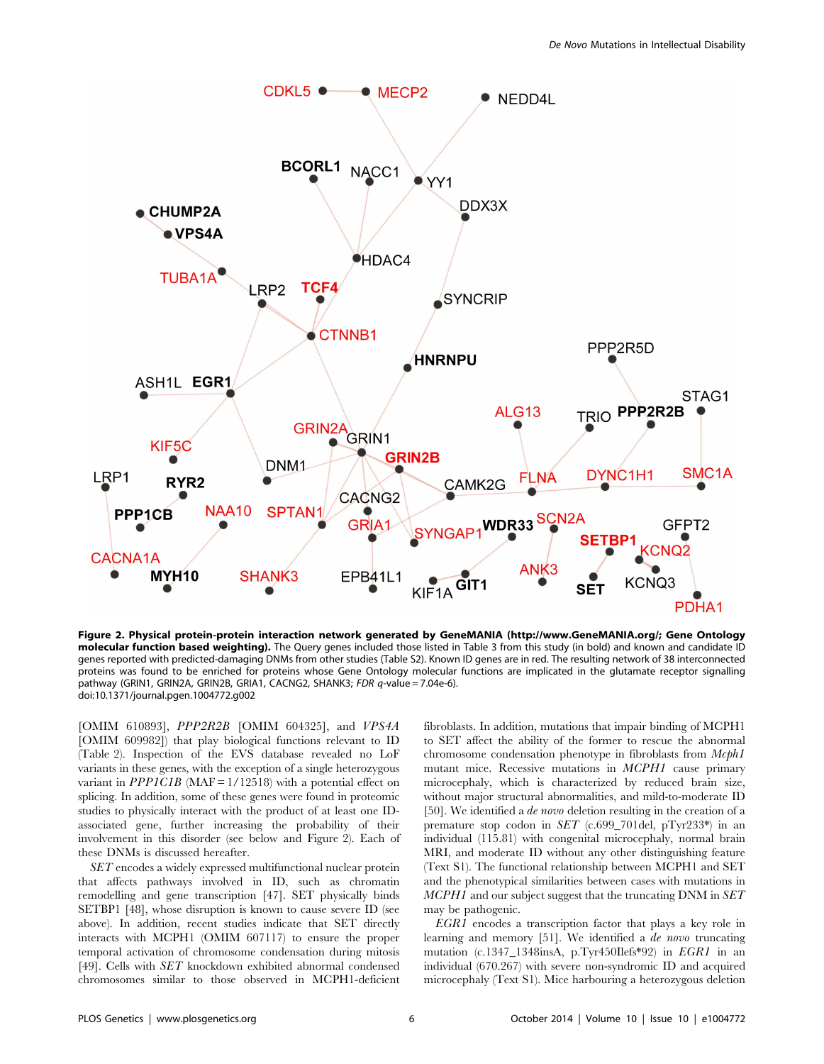

Figure 2. Physical protein-protein interaction network generated by GeneMANIA ([http://www.GeneMANIA.org/;](http://www.GeneMANIA.org/) Gene Ontology molecular function based weighting). The Query genes included those listed in Table 3 from this study (in bold) and known and candidate ID genes reported with predicted-damaging DNMs from other studies (Table S2). Known ID genes are in red. The resulting network of 38 interconnected proteins was found to be enriched for proteins whose Gene Ontology molecular functions are implicated in the glutamate receptor signalling pathway (GRIN1, GRIN2A, GRIN2B, GRIA1, CACNG2, SHANK3; FDR q-value = 7.04e-6). doi:10.1371/journal.pgen.1004772.g002

[OMIM 610893], PPP2R2B [OMIM 604325], and VPS4A [OMIM 609982]) that play biological functions relevant to ID (Table 2). Inspection of the EVS database revealed no LoF variants in these genes, with the exception of a single heterozygous variant in  $PPPLCIB$  (MAF =  $1/12518$ ) with a potential effect on splicing. In addition, some of these genes were found in proteomic studies to physically interact with the product of at least one IDassociated gene, further increasing the probability of their involvement in this disorder (see below and Figure 2). Each of these DNMs is discussed hereafter.

SET encodes a widely expressed multifunctional nuclear protein that affects pathways involved in ID, such as chromatin remodelling and gene transcription [47]. SET physically binds SETBP1 [48], whose disruption is known to cause severe ID (see above). In addition, recent studies indicate that SET directly interacts with MCPH1 (OMIM 607117) to ensure the proper temporal activation of chromosome condensation during mitosis [49]. Cells with SET knockdown exhibited abnormal condensed chromosomes similar to those observed in MCPH1-deficient

fibroblasts. In addition, mutations that impair binding of MCPH1 to SET affect the ability of the former to rescue the abnormal chromosome condensation phenotype in fibroblasts from Mcph1 mutant mice. Recessive mutations in MCPH1 cause primary microcephaly, which is characterized by reduced brain size, without major structural abnormalities, and mild-to-moderate ID [50]. We identified a *de novo* deletion resulting in the creation of a premature stop codon in SET (c.699\_701del, pTyr233\*) in an individual (115.81) with congenital microcephaly, normal brain MRI, and moderate ID without any other distinguishing feature (Text S1). The functional relationship between MCPH1 and SET and the phenotypical similarities between cases with mutations in MCPH1 and our subject suggest that the truncating DNM in SET may be pathogenic.

EGR1 encodes a transcription factor that plays a key role in learning and memory [51]. We identified a *de novo* truncating mutation (c.1347\_1348insA, p.Tyr450Ilefs\*92) in EGR1 in an individual (670.267) with severe non-syndromic ID and acquired microcephaly (Text S1). Mice harbouring a heterozygous deletion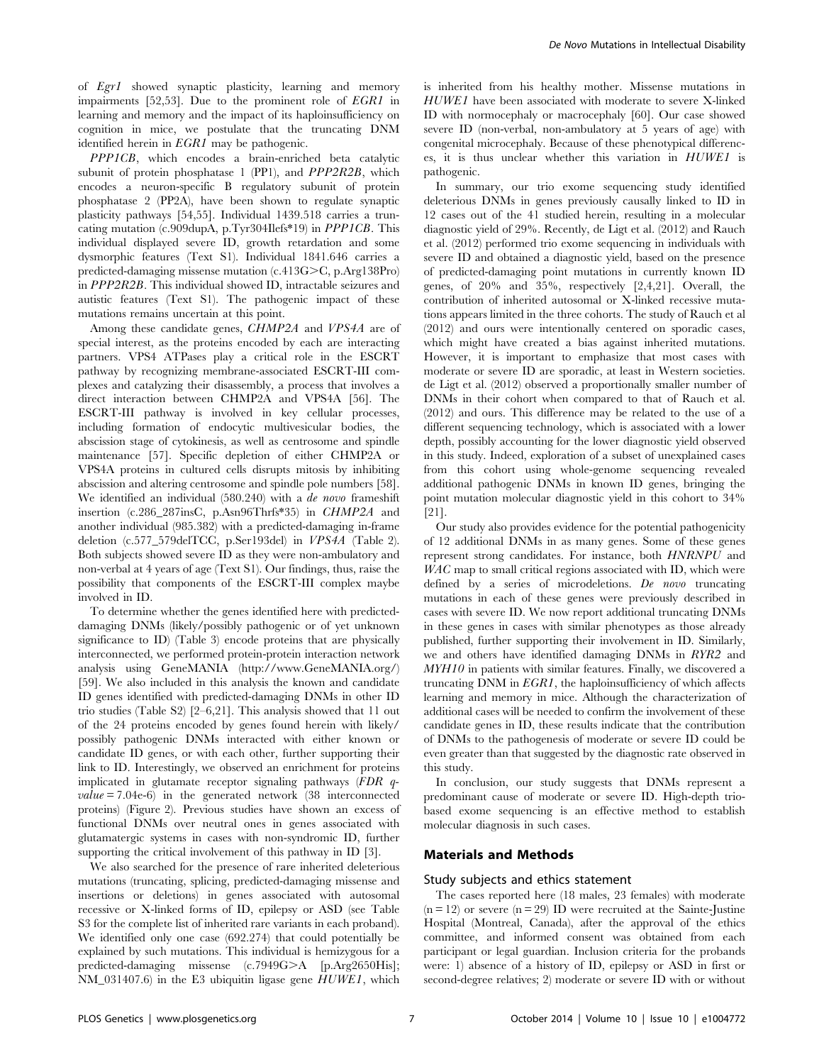of Egr1 showed synaptic plasticity, learning and memory impairments [52,53]. Due to the prominent role of EGR1 in learning and memory and the impact of its haploinsufficiency on cognition in mice, we postulate that the truncating DNM identified herein in EGR1 may be pathogenic.

PPP1CB, which encodes a brain-enriched beta catalytic subunit of protein phosphatase 1 (PP1), and *PPP2R2B*, which encodes a neuron-specific B regulatory subunit of protein phosphatase 2 (PP2A), have been shown to regulate synaptic plasticity pathways [54,55]. Individual 1439.518 carries a truncating mutation (c.909dupA, p.Tyr304Ilefs\*19) in PPP1CB. This individual displayed severe ID, growth retardation and some dysmorphic features (Text S1). Individual 1841.646 carries a predicted-damaging missense mutation  $(c.413G>C, p.Arg138Pro)$ in PPP2R2B. This individual showed ID, intractable seizures and autistic features (Text S1). The pathogenic impact of these mutations remains uncertain at this point.

Among these candidate genes, CHMP2A and VPS4A are of special interest, as the proteins encoded by each are interacting partners. VPS4 ATPases play a critical role in the ESCRT pathway by recognizing membrane-associated ESCRT-III complexes and catalyzing their disassembly, a process that involves a direct interaction between CHMP2A and VPS4A [56]. The ESCRT-III pathway is involved in key cellular processes, including formation of endocytic multivesicular bodies, the abscission stage of cytokinesis, as well as centrosome and spindle maintenance [57]. Specific depletion of either CHMP2A or VPS4A proteins in cultured cells disrupts mitosis by inhibiting abscission and altering centrosome and spindle pole numbers [58]. We identified an individual (580.240) with a *de novo* frameshift insertion (c.286\_287insC, p.Asn96Thrfs\*35) in CHMP2A and another individual (985.382) with a predicted-damaging in-frame deletion (c.577\_579delTCC, p.Ser193del) in VPS4A (Table 2). Both subjects showed severe ID as they were non-ambulatory and non-verbal at 4 years of age (Text S1). Our findings, thus, raise the possibility that components of the ESCRT-III complex maybe involved in ID.

To determine whether the genes identified here with predicteddamaging DNMs (likely/possibly pathogenic or of yet unknown significance to ID) (Table 3) encode proteins that are physically interconnected, we performed protein-protein interaction network analysis using GeneMANIA ([http://www.GeneMANIA.org/\)](http://www.GeneMANIA.org/) [59]. We also included in this analysis the known and candidate ID genes identified with predicted-damaging DNMs in other ID trio studies (Table S2) [2–6,21]. This analysis showed that 11 out of the 24 proteins encoded by genes found herein with likely/ possibly pathogenic DNMs interacted with either known or candidate ID genes, or with each other, further supporting their link to ID. Interestingly, we observed an enrichment for proteins implicated in glutamate receptor signaling pathways (FDR q $value = 7.04e-6$ ) in the generated network (38 interconnected proteins) (Figure 2). Previous studies have shown an excess of functional DNMs over neutral ones in genes associated with glutamatergic systems in cases with non-syndromic ID, further supporting the critical involvement of this pathway in ID [3].

We also searched for the presence of rare inherited deleterious mutations (truncating, splicing, predicted-damaging missense and insertions or deletions) in genes associated with autosomal recessive or X-linked forms of ID, epilepsy or ASD (see Table S3 for the complete list of inherited rare variants in each proband). We identified only one case (692.274) that could potentially be explained by such mutations. This individual is hemizygous for a predicted-damaging missense (c.7949G>A [p.Arg2650His]; NM\_031407.6) in the E3 ubiquitin ligase gene HUWE1, which

is inherited from his healthy mother. Missense mutations in HUWE1 have been associated with moderate to severe X-linked ID with normocephaly or macrocephaly [60]. Our case showed severe ID (non-verbal, non-ambulatory at 5 years of age) with congenital microcephaly. Because of these phenotypical differences, it is thus unclear whether this variation in HUWE1 is pathogenic.

In summary, our trio exome sequencing study identified deleterious DNMs in genes previously causally linked to ID in 12 cases out of the 41 studied herein, resulting in a molecular diagnostic yield of 29%. Recently, de Ligt et al. (2012) and Rauch et al. (2012) performed trio exome sequencing in individuals with severe ID and obtained a diagnostic yield, based on the presence of predicted-damaging point mutations in currently known ID genes, of 20% and 35%, respectively [2,4,21]. Overall, the contribution of inherited autosomal or X-linked recessive mutations appears limited in the three cohorts. The study of Rauch et al (2012) and ours were intentionally centered on sporadic cases, which might have created a bias against inherited mutations. However, it is important to emphasize that most cases with moderate or severe ID are sporadic, at least in Western societies. de Ligt et al. (2012) observed a proportionally smaller number of DNMs in their cohort when compared to that of Rauch et al. (2012) and ours. This difference may be related to the use of a different sequencing technology, which is associated with a lower depth, possibly accounting for the lower diagnostic yield observed in this study. Indeed, exploration of a subset of unexplained cases from this cohort using whole-genome sequencing revealed additional pathogenic DNMs in known ID genes, bringing the point mutation molecular diagnostic yield in this cohort to 34% [21].

Our study also provides evidence for the potential pathogenicity of 12 additional DNMs in as many genes. Some of these genes represent strong candidates. For instance, both HNRNPU and WAC map to small critical regions associated with ID, which were defined by a series of microdeletions. De novo truncating mutations in each of these genes were previously described in cases with severe ID. We now report additional truncating DNMs in these genes in cases with similar phenotypes as those already published, further supporting their involvement in ID. Similarly, we and others have identified damaging DNMs in RYR2 and MYH10 in patients with similar features. Finally, we discovered a truncating DNM in EGR1, the haploinsufficiency of which affects learning and memory in mice. Although the characterization of additional cases will be needed to confirm the involvement of these candidate genes in ID, these results indicate that the contribution of DNMs to the pathogenesis of moderate or severe ID could be even greater than that suggested by the diagnostic rate observed in this study.

In conclusion, our study suggests that DNMs represent a predominant cause of moderate or severe ID. High-depth triobased exome sequencing is an effective method to establish molecular diagnosis in such cases.

## Materials and Methods

## Study subjects and ethics statement

The cases reported here (18 males, 23 females) with moderate  $(n = 12)$  or severe  $(n = 29)$  ID were recruited at the Sainte-Justine Hospital (Montreal, Canada), after the approval of the ethics committee, and informed consent was obtained from each participant or legal guardian. Inclusion criteria for the probands were: 1) absence of a history of ID, epilepsy or ASD in first or second-degree relatives; 2) moderate or severe ID with or without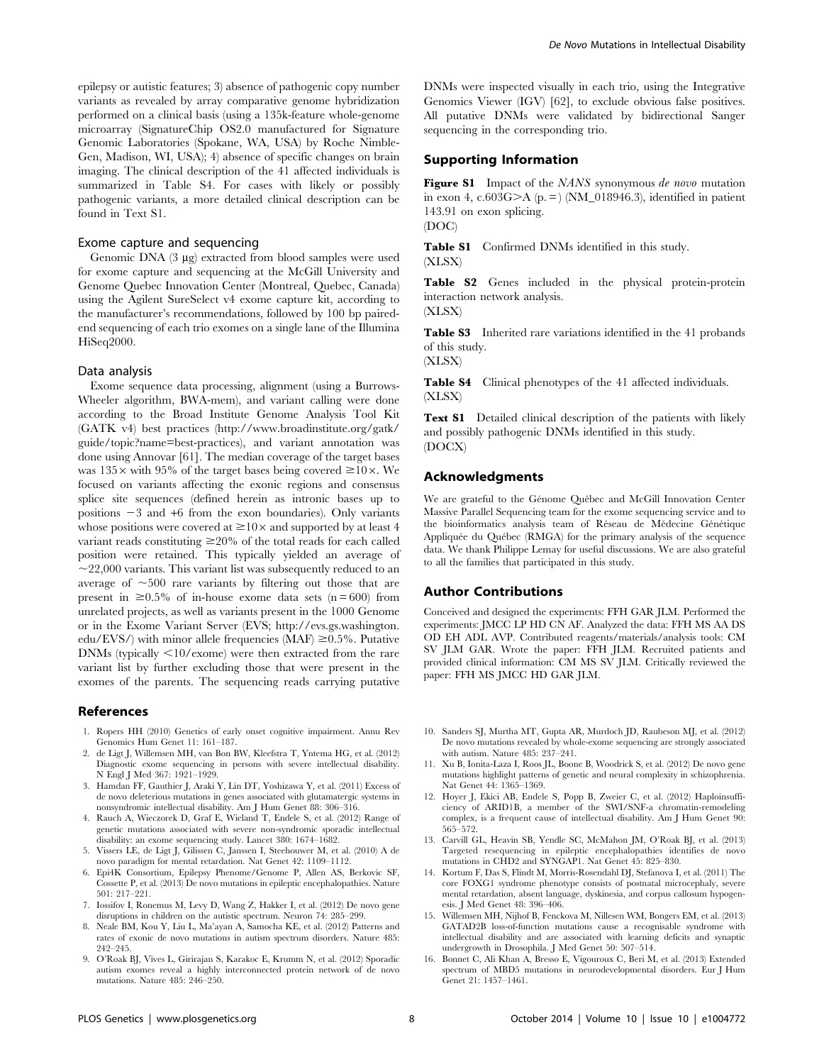epilepsy or autistic features; 3) absence of pathogenic copy number variants as revealed by array comparative genome hybridization performed on a clinical basis (using a 135k-feature whole-genome microarray (SignatureChip OS2.0 manufactured for Signature Genomic Laboratories (Spokane, WA, USA) by Roche Nimble-Gen, Madison, WI, USA); 4) absence of specific changes on brain imaging. The clinical description of the 41 affected individuals is summarized in Table S4. For cases with likely or possibly pathogenic variants, a more detailed clinical description can be found in Text S1.

### Exome capture and sequencing

Genomic DNA  $(3 \mu g)$  extracted from blood samples were used for exome capture and sequencing at the McGill University and Genome Quebec Innovation Center (Montreal, Quebec, Canada) using the Agilent SureSelect v4 exome capture kit, according to the manufacturer's recommendations, followed by 100 bp pairedend sequencing of each trio exomes on a single lane of the Illumina HiSeq2000.

## Data analysis

Exome sequence data processing, alignment (using a Burrows-Wheeler algorithm, BWA-mem), and variant calling were done according to the Broad Institute Genome Analysis Tool Kit (GATK v4) best practices ([http://www.broadinstitute.org/gatk/](http://www.broadinstitute.org/gatk/guide/topic?name=best-practices) [guide/topic?name=best-practices](http://www.broadinstitute.org/gatk/guide/topic?name=best-practices)), and variant annotation was done using Annovar [61]. The median coverage of the target bases was  $135\times$  with 95% of the target bases being covered  $\geq 10\times$ . We focused on variants affecting the exonic regions and consensus splice site sequences (defined herein as intronic bases up to positions  $-3$  and  $+6$  from the exon boundaries). Only variants whose positions were covered at  $\geq 10 \times$  and supported by at least 4 variant reads constituting  $\geq$ 20% of the total reads for each called position were retained. This typically yielded an average of  $\sim$ 22,000 variants. This variant list was subsequently reduced to an average of  $\sim$ 500 rare variants by filtering out those that are present in  $\geq 0.5\%$  of in-house exome data sets (n = 600) from unrelated projects, as well as variants present in the 1000 Genome or in the Exome Variant Server (EVS; [http://evs.gs.washington.](http://evs.gs.washington.edu/EVS/) [edu/EVS/\)](http://evs.gs.washington.edu/EVS/) with minor allele frequencies (MAF)  $\geq 0.5\%$ . Putative DNMs (typically <10/exome) were then extracted from the rare variant list by further excluding those that were present in the exomes of the parents. The sequencing reads carrying putative

#### References

- 1. Ropers HH (2010) Genetics of early onset cognitive impairment. Annu Rev Genomics Hum Genet 11: 161–187.
- 2. de Ligt J, Willemsen MH, van Bon BW, Kleefstra T, Yntema HG, et al. (2012) Diagnostic exome sequencing in persons with severe intellectual disability. N Engl J Med 367: 1921–1929.
- 3. Hamdan FF, Gauthier J, Araki Y, Lin DT, Yoshizawa Y, et al. (2011) Excess of de novo deleterious mutations in genes associated with glutamatergic systems in nonsyndromic intellectual disability. Am J Hum Genet 88: 306–316.
- 4. Rauch A, Wieczorek D, Graf E, Wieland T, Endele S, et al. (2012) Range of genetic mutations associated with severe non-syndromic sporadic intellectual disability: an exome sequencing study. Lancet 380: 1674–1682.
- 5. Vissers LE, de Ligt J, Gilissen C, Janssen I, Steehouwer M, et al. (2010) A de novo paradigm for mental retardation. Nat Genet 42: 1109–1112.
- 6. Epi4K Consortium, Epilepsy Phenome/Genome P, Allen AS, Berkovic SF, Cossette P, et al. (2013) De novo mutations in epileptic encephalopathies. Nature 501: 217–221.
- 7. Iossifov I, Ronemus M, Levy D, Wang Z, Hakker I, et al. (2012) De novo gene disruptions in children on the autistic spectrum. Neuron 74: 285–299.
- 8. Neale BM, Kou Y, Liu L, Ma'ayan A, Samocha KE, et al. (2012) Patterns and rates of exonic de novo mutations in autism spectrum disorders. Nature 485: 242–245.
- 9. O'Roak BJ, Vives L, Girirajan S, Karakoc E, Krumm N, et al. (2012) Sporadic autism exomes reveal a highly interconnected protein network of de novo mutations. Nature 485: 246–250.

DNMs were inspected visually in each trio, using the Integrative Genomics Viewer (IGV) [62], to exclude obvious false positives. All putative DNMs were validated by bidirectional Sanger sequencing in the corresponding trio.

## Supporting Information

Figure S1 Impact of the NANS synonymous de novo mutation in exon 4, c.603G $>A$  (p. = ) (NM\_018946.3), identified in patient 143.91 on exon splicing. (DOC)

Table S1 Confirmed DNMs identified in this study. (XLSX)

Table S2 Genes included in the physical protein-protein interaction network analysis.

(XLSX)

Table S3 Inherited rare variations identified in the 41 probands of this study.

(XLSX)

Table S4 Clinical phenotypes of the 41 affected individuals. (XLSX)

Text S1 Detailed clinical description of the patients with likely and possibly pathogenic DNMs identified in this study. (DOCX)

## Acknowledgments

We are grateful to the Génome Québec and McGill Innovation Center Massive Parallel Sequencing team for the exome sequencing service and to the bioinformatics analysis team of Réseau de Médecine Génétique Appliquée du Québec (RMGA) for the primary analysis of the sequence data. We thank Philippe Lemay for useful discussions. We are also grateful to all the families that participated in this study.

#### Author Contributions

Conceived and designed the experiments: FFH GAR JLM. Performed the experiments: JMCC LP HD CN AF. Analyzed the data: FFH MS AA DS OD EH ADL AVP. Contributed reagents/materials/analysis tools: CM SV JLM GAR. Wrote the paper: FFH JLM. Recruited patients and provided clinical information: CM MS SV JLM. Critically reviewed the paper: FFH MS JMCC HD GAR JLM.

- 10. Sanders SJ, Murtha MT, Gupta AR, Murdoch JD, Raubeson MJ, et al. (2012) De novo mutations revealed by whole-exome sequencing are strongly associated with autism. Nature 485: 237–241.
- 11. Xu B, Ionita-Laza I, Roos JL, Boone B, Woodrick S, et al. (2012) De novo gene mutations highlight patterns of genetic and neural complexity in schizophrenia. Nat Genet 44: 1365–1369.
- 12. Hoyer J, Ekici AB, Endele S, Popp B, Zweier C, et al. (2012) Haploinsufficiency of ARID1B, a member of the SWI/SNF-a chromatin-remodeling complex, is a frequent cause of intellectual disability. Am J Hum Genet 90: 565–572.
- 13. Carvill GL, Heavin SB, Yendle SC, McMahon JM, O'Roak BJ, et al. (2013) Targeted resequencing in epileptic encephalopathies identifies de novo mutations in CHD2 and SYNGAP1. Nat Genet 45: 825–830.
- 14. Kortum F, Das S, Flindt M, Morris-Rosendahl DJ, Stefanova I, et al. (2011) The core FOXG1 syndrome phenotype consists of postnatal microcephaly, severe mental retardation, absent language, dyskinesia, and corpus callosum hypogenesis. J Med Genet 48: 396–406.
- 15. Willemsen MH, Nijhof B, Fenckova M, Nillesen WM, Bongers EM, et al. (2013) GATAD2B loss-of-function mutations cause a recognisable syndrome with intellectual disability and are associated with learning deficits and synaptic undergrowth in Drosophila. J Med Genet 50: 507–514.
- 16. Bonnet C, Ali Khan A, Bresso E, Vigouroux C, Beri M, et al. (2013) Extended spectrum of MBD5 mutations in neurodevelopmental disorders. Eur J Hum Genet 21: 1457–1461.